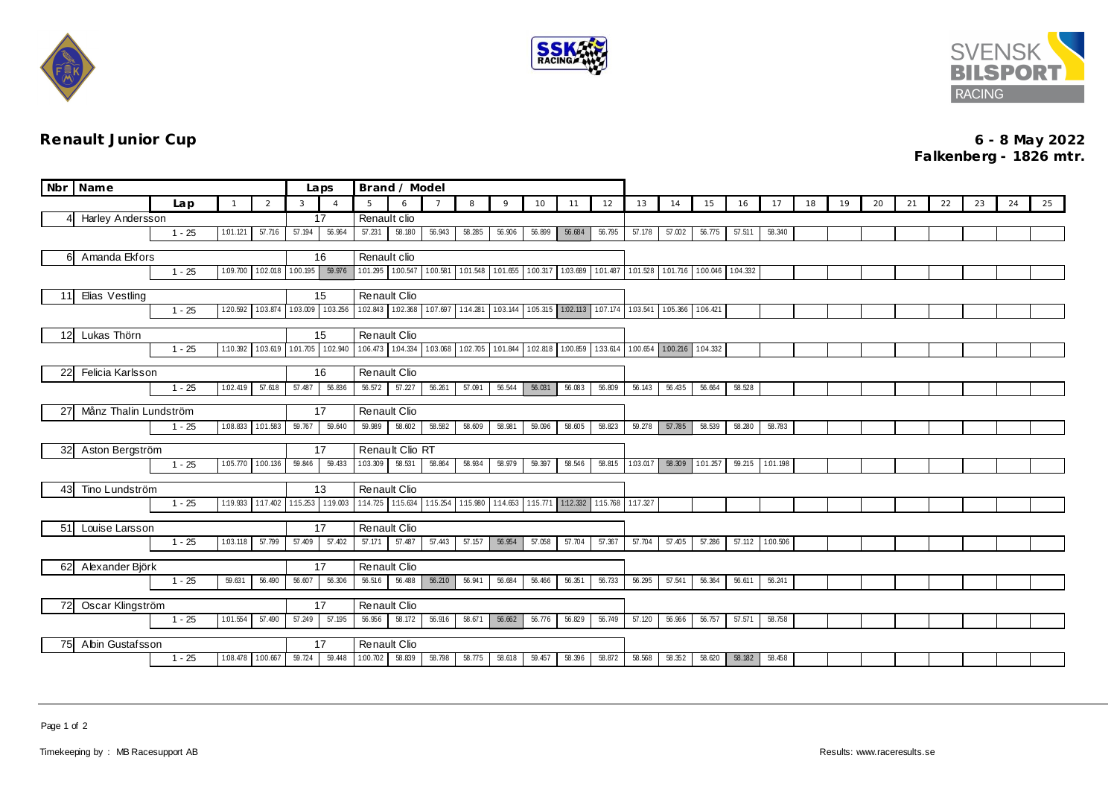





## **Renault Junior Cup 6 - 8 May 2022 Falkenberg - 1826 mtr.**

| Nbr Name                                    |                               |          |                   |          | Laps               | Brand / Model      |                                              |        |          |          |                                     |                                                 |          |                   |          |                   |                                                         |        |                 |    |    |    |    |    |    |    |    |
|---------------------------------------------|-------------------------------|----------|-------------------|----------|--------------------|--------------------|----------------------------------------------|--------|----------|----------|-------------------------------------|-------------------------------------------------|----------|-------------------|----------|-------------------|---------------------------------------------------------|--------|-----------------|----|----|----|----|----|----|----|----|
|                                             |                               | Lap      | $\mathbf{1}$      | 2        | 3                  | $\overline{A}$     | 5                                            | 6      |          | 8        | $\mathsf{Q}$                        | 10 <sup>°</sup>                                 | 11       | 12                | 13       | 14                | 15                                                      | 16     | 17              | 18 | 19 | 20 | 21 | 22 | 23 | 24 | 25 |
| Δ                                           | Harley Andersson              |          |                   |          | 17                 | Renault clio       |                                              |        |          |          |                                     |                                                 |          |                   |          |                   |                                                         |        |                 |    |    |    |    |    |    |    |    |
|                                             |                               | $1 - 25$ | 1.01.121          | 57.716   | 57.194             | 56.964             | 57.231                                       | 58.180 | 56.943   | 58.285   | 56.906                              | 56.899                                          | 56.684   | 56.795            | 57.178   | 57.002            | 56.775                                                  | 57.511 | 58.340          |    |    |    |    |    |    |    |    |
| Amanda Ekfors<br>61                         |                               |          |                   |          | 16<br>Renault clio |                    |                                              |        |          |          |                                     |                                                 |          |                   |          |                   |                                                         |        |                 |    |    |    |    |    |    |    |    |
|                                             | $1 - 25$<br>1.09.700 1.02.018 |          |                   |          | 1.00.195           | 59.976             | 1.01.295 1.00.547 1.00.581 1.01.548 1.01.655 |        |          |          |                                     |                                                 |          |                   |          |                   | 100.317 103.689 101.487 101.528 101.716 100.046 104.332 |        |                 |    |    |    |    |    |    |    |    |
|                                             |                               |          |                   |          |                    |                    |                                              |        |          |          |                                     |                                                 |          |                   |          |                   |                                                         |        |                 |    |    |    |    |    |    |    |    |
| Elias Vestling<br>11                        |                               |          |                   |          | 15                 | Renault Clio       |                                              |        |          |          |                                     |                                                 |          |                   |          |                   |                                                         |        |                 |    |    |    |    |    |    |    |    |
|                                             |                               | $1 - 25$ | 1:20.592          | 1.03.874 | 1.03.009           | 1.03.256           | 1.02.843 1.02.368 1.07.697 1:14.281          |        |          |          | 1.03.144                            | 105.315 102.113 107.174 103.541 105.366 106.421 |          |                   |          |                   |                                                         |        |                 |    |    |    |    |    |    |    |    |
| Lukas Thörn<br>12                           |                               |          |                   |          |                    | 15<br>Renault Clio |                                              |        |          |          |                                     |                                                 |          |                   |          |                   |                                                         |        |                 |    |    |    |    |    |    |    |    |
|                                             |                               | $1 - 25$ | 1:10.392          | 1.03.619 | 1:01.705           | 1.02.940           | 1.06.473 1.04.334                            |        | 1.03.068 | 1.02.705 | 1:01.844                            | 1.02.818                                        | 1:00.859 | 1:33.614 1:00.654 |          | 1.00.216 1.04.332 |                                                         |        |                 |    |    |    |    |    |    |    |    |
|                                             |                               |          |                   |          |                    |                    |                                              |        |          |          |                                     |                                                 |          |                   |          |                   |                                                         |        |                 |    |    |    |    |    |    |    |    |
|                                             | Felicia Karlsson<br>22        |          |                   |          |                    | 16                 | Renault Clio                                 |        |          |          |                                     |                                                 |          |                   |          |                   |                                                         |        |                 |    |    |    |    |    |    |    |    |
|                                             |                               | $1 - 25$ | 1:02.419          | 57.618   | 57.487             | 56.836             | 56.572                                       | 57.227 | 56.261   | 57.091   | 56.544                              | 56.031                                          | 56.083   | 56.809            | 56.143   | 56.435            | 56.664                                                  | 58.528 |                 |    |    |    |    |    |    |    |    |
| 27                                          | Månz Thalin Lundström         |          |                   |          |                    | 17                 | Renault Clio                                 |        |          |          |                                     |                                                 |          |                   |          |                   |                                                         |        |                 |    |    |    |    |    |    |    |    |
|                                             |                               | $1 - 25$ | 1.08.833          | 1.01.583 | 59.767             | 59.640             | 59.989                                       | 58.602 | 58.582   | 58.609   | 58.981                              | 59.096                                          | 58.605   | 58.823            | 59.278   | 57.785            | 58.539                                                  | 58.280 | 58.783          |    |    |    |    |    |    |    |    |
|                                             |                               |          |                   |          |                    | 17                 | Renault Clio RT                              |        |          |          |                                     |                                                 |          |                   |          |                   |                                                         |        |                 |    |    |    |    |    |    |    |    |
| 32                                          | Aston Bergström               | $1 - 25$ | 1.05.770 1.00.136 |          | 59.846             | 59.433             | 1.03.309                                     | 58.531 | 58.864   | 58.934   | 58.979                              | 59.397                                          | 58.546   | 58.815            | 1:03.017 | 58.309            | 1.01.257                                                | 59.215 | 1:01.198        |    |    |    |    |    |    |    |    |
|                                             |                               |          |                   |          |                    |                    |                                              |        |          |          |                                     |                                                 |          |                   |          |                   |                                                         |        |                 |    |    |    |    |    |    |    |    |
| 43                                          | Tino Lundström                |          |                   |          |                    | 13                 | Renault Clio                                 |        |          |          |                                     |                                                 |          |                   |          |                   |                                                         |        |                 |    |    |    |    |    |    |    |    |
|                                             |                               | $1 - 25$ | 1:19.933 1:17.402 |          | 1:15.253 1:19.003  |                    | 1:14.725                                     |        |          |          | 1:15.634 1:15.254 1:15.980 1:14.653 | 1:15.771 1:12.332 1:15.768 1:17.327             |          |                   |          |                   |                                                         |        |                 |    |    |    |    |    |    |    |    |
| Louise Larsson<br>51                        |                               |          |                   |          | Renault Clio<br>17 |                    |                                              |        |          |          |                                     |                                                 |          |                   |          |                   |                                                         |        |                 |    |    |    |    |    |    |    |    |
|                                             |                               | $1 - 25$ | 1.03.118          | 57.799   | 57.409             | 57.402             | 57.171                                       | 57.487 | 57.443   | 57.157   | 56.954                              | 57.058                                          | 57.704   | 57.367            | 57.704   | 57.405            | 57.286                                                  |        | 57.112 1.00.506 |    |    |    |    |    |    |    |    |
|                                             |                               |          |                   |          |                    |                    |                                              |        |          |          |                                     |                                                 |          |                   |          |                   |                                                         |        |                 |    |    |    |    |    |    |    |    |
| Alexander Björk<br>62                       |                               |          |                   |          |                    | 17                 | Renault Clio                                 |        |          |          |                                     |                                                 |          |                   |          |                   |                                                         |        |                 |    |    |    |    |    |    |    |    |
|                                             |                               | $1 - 25$ | 59.631            | 56.490   | 56.607             | 56.306             | 56.516                                       | 56.488 | 56.210   | 56.941   | 56.684                              | 56.466                                          | 56.351   | 56.733            | 56.295   | 57.541            | 56.364                                                  | 56.611 | 56.241          |    |    |    |    |    |    |    |    |
| Oscar Klingström<br>72                      |                               |          |                   |          |                    | 17                 | Renault Clio                                 |        |          |          |                                     |                                                 |          |                   |          |                   |                                                         |        |                 |    |    |    |    |    |    |    |    |
|                                             |                               | $1 - 25$ | 1:01.554          | 57.490   | 57.249             | 57.195             | 56.956                                       | 58.172 | 56.916   | 58.671   | 56.662                              | 56.776                                          | 56.829   | 56.749            | 57.120   | 56.966            | 56.757                                                  | 57.571 | 58.758          |    |    |    |    |    |    |    |    |
|                                             |                               |          |                   |          |                    |                    |                                              |        |          |          |                                     |                                                 |          |                   |          |                   |                                                         |        |                 |    |    |    |    |    |    |    |    |
| Abin Gustafsson<br>75I<br>1.08.478 1.00.667 |                               |          |                   |          |                    | 17                 | Renault Clio                                 |        |          |          |                                     |                                                 |          |                   |          |                   |                                                         |        |                 |    |    |    |    |    |    |    |    |
|                                             |                               | $1 - 25$ |                   |          | 59.724             | 59.448             | 1.00.702                                     | 58.839 | 58.798   | 58.775   | 58.618                              | 59.457                                          | 58.396   | 58.872            | 58.568   | 58.352            | 58.620                                                  | 58.182 | 58.458          |    |    |    |    |    |    |    |    |